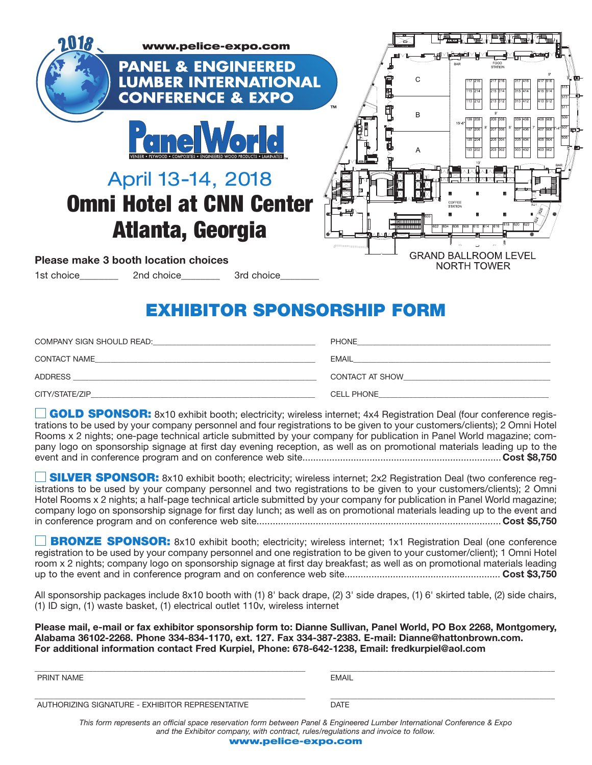| www.pelice-expo.com                                                                          |                                                                                                     |
|----------------------------------------------------------------------------------------------|-----------------------------------------------------------------------------------------------------|
| <b>PANEL &amp; ENGINEERED</b><br><b>LUMBER INTERNATIONAL</b><br><b>CONFERENCE &amp; EXPO</b> | <b>STATION</b><br>C<br>215 314<br>315 414<br>415 514<br>115 214<br>313 412<br>413 512               |
| <b>Gne World</b><br>/ENEER • PLYWOOD • COMPOSITES • ENGINEERED WOOD PRODUCTS • LAMINAT       | <b>TM</b><br>B<br>$15' - 6'$<br>207 306<br>307 406<br>205 304<br>305 404<br>105 204<br>A<br>303 402 |
| April 13-14, 2018<br><b>Omni Hotel at CNN Center</b>                                         | COFFEE<br><b>STATION</b>                                                                            |
| Atlanta, Georgia                                                                             |                                                                                                     |
| <b>Please make 3 booth location choices</b><br>1st choice 2nd choice 3rd choice              | <b>GRAND BALLROOM LEVEL</b><br><b>NORTH TOWER</b>                                                   |

### **EXHIBITOR SPONSORSHIP FORM**

| COMPANY SIGN SHOULD READ: | <b>PHONE</b>      |
|---------------------------|-------------------|
| <b>CONTACT NAME</b>       | <b>EMAIL</b>      |
| <b>ADDRESS</b>            | CONTACT AT SHOW   |
| CITY/STATE/ZIP            | <b>CELL PHONE</b> |

**GOLD SPONSOR:** 8x10 exhibit booth; electricity; wireless internet; 4x4 Registration Deal (four conference registrations to be used by your company personnel and four registrations to be given to your customers/clients); 2 Omni Hotel Rooms x 2 nights; one-page technical article submitted by your company for publication in Panel World magazine; company logo on sponsorship signage at first day evening reception, as well as on promotional materials leading up to the event and in conference program and on conference web site..........................................................................**Cost \$8,750**

**SILVER SPONSOR:** 8x10 exhibit booth; electricity; wireless internet; 2x2 Registration Deal (two conference registrations to be used by your company personnel and two registrations to be given to your customers/clients); 2 Omni Hotel Rooms x 2 nights; a half-page technical article submitted by your company for publication in Panel World magazine; company logo on sponsorship signage for first day lunch; as well as on promotional materials leading up to the event and in conference program and on conference web site........................................................................................... **Cost \$5,750**

**BRONZE SPONSOR:** 8x10 exhibit booth; electricity; wireless internet; 1x1 Registration Deal (one conference registration to be used by your company personnel and one registration to be given to your customer/client); 1 Omni Hotel room x 2 nights; company logo on sponsorship signage at first day breakfast; as well as on promotional materials leading up to the event and in conference program and on conference web site.......................................................... **Cost \$3,750**

All sponsorship packages include 8x10 booth with (1) 8' back drape, (2) 3' side drapes, (1) 6' skirted table, (2) side chairs, (1) ID sign, (1) waste basket, (1) electrical outlet 110v, wireless internet

**Please mail, e-mail or fax exhibitor sponsorship form to: Dianne Sullivan, Panel World, PO Box 2268, Montgomery, Alabama 36102-2268. Phone 334-834-1170, ext. 127. Fax 334-387-2383. E-mail: Dianne@hattonbrown.com. For additional information contact Fred Kurpiel, Phone: 678-642-1238, Email: fredkurpiel@aol.com**

| PRINT NAME                                       | <b>EMAIL</b> |
|--------------------------------------------------|--------------|
| AUTHORIZING SIGNATURE - EXHIBITOR REPRESENTATIVE | <b>DATE</b>  |

*This form represents an official space reservation form between Panel & Engineered Lumber International Conference & Expo and the Exhibitor company, with contract, rules/regulations and invoice to follow.*

**www.pelice-expo.com**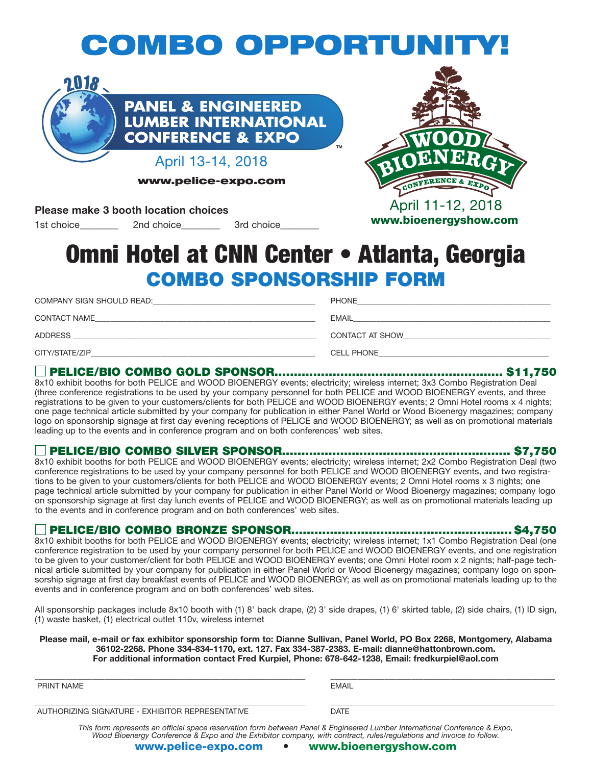# **COMBO OPPORTUNITY!**



**www.pelice-expo.com**

### **Please make 3 booth location choices**

1st choice and choice and 3rd choice



## **COMBO SPONSORSHIP FORM Omni Hotel at CNN Center • Atlanta, Georgia**

| COMPANY SIGN SHOULD READ: | <b>PHONE</b>      |
|---------------------------|-------------------|
| <b>CONTACT NAME</b>       | <b>EMAIL</b>      |
| <b>ADDRESS</b>            | CONTACT AT SHOW   |
| CITY/STATE/ZIP            | <b>CELL PHONE</b> |

### ■ **PELICE/BIO COMBO GOLD SPONSOR........................................................... \$11,750**

8x10 exhibit booths for both PELICE and WOOD BIOENERGY events; electricity; wireless internet; 3x3 Combo Registration Deal (three conference registrations to be used by your company personnel for both PELICE and WOOD BIOENERGY events, and three registrations to be given to your customers/clients for both PELICE and WOOD BIOENERGY events; 2 Omni Hotel rooms x 4 nights; one page technical article submitted by your company for publication in either Panel World or Wood Bioenergy magazines; company logo on sponsorship signage at first day evening receptions of PELICE and WOOD BIOENERGY; as well as on promotional materials leading up to the events and in conference program and on both conferences' web sites.

### ■ **PELICE/BIO COMBO SILVER SPONSOR........................................................... \$7,750**

8x10 exhibit booths for both PELICE and WOOD BIOENERGY events; electricity; wireless internet; 2x2 Combo Registration Deal (two conference registrations to be used by your company personnel for both PELICE and WOOD BIOENERGY events, and two registrations to be given to your customers/clients for both PELICE and WOOD BIOENERGY events; 2 Omni Hotel rooms x 3 nights; one page technical article submitted by your company for publication in either Panel World or Wood Bioenergy magazines; company logo on sponsorship signage at first day lunch events of PELICE and WOOD BIOENERGY; as well as on promotional materials leading up to the events and in conference program and on both conferences' web sites.

#### ■ **PELICE/BIO COMBO BRONZE SPONSOR......................................................... \$4,750**

8x10 exhibit booths for both PELICE and WOOD BIOENERGY events; electricity; wireless internet; 1x1 Combo Registration Deal (one conference registration to be used by your company personnel for both PELICE and WOOD BIOENERGY events, and one registration to be given to your customer/client for both PELICE and WOOD BIOENERGY events; one Omni Hotel room x 2 nights; half-page technical article submitted by your company for publication in either Panel World or Wood Bioenergy magazines; company logo on sponsorship signage at first day breakfast events of PELICE and WOOD BIOENERGY; as well as on promotional materials leading up to the events and in conference program and on both conferences' web sites.

All sponsorship packages include 8x10 booth with (1) 8' back drape, (2) 3' side drapes, (1) 6' skirted table, (2) side chairs, (1) ID sign, (1) waste basket, (1) electrical outlet 110v, wireless internet

**Please mail, e-mail or fax exhibitor sponsorship form to: Dianne Sullivan, Panel World, PO Box 2268, Montgomery, Alabama 36102-2268. Phone 334-834-1170, ext. 127. Fax 334-387-2383. E-mail: dianne@hattonbrown.com. For additional information contact Fred Kurpiel, Phone: 678-642-1238, Email: fredkurpiel@aol.com**

| PRINT NAME                                                                                                                                                                                                                                        | <b>EMAIL</b> |
|---------------------------------------------------------------------------------------------------------------------------------------------------------------------------------------------------------------------------------------------------|--------------|
| AUTHORIZING SIGNATURE - EXHIBITOR REPRESENTATIVE                                                                                                                                                                                                  | DATE         |
| This form represents an official space reservation form between Panel & Engineered Lumber International Conference & Expo,<br>Wood Bioenergy Conference & Expo and the Exhibitor company, with contract, rules/regulations and invoice to follow. |              |

**www.pelice-expo.com • www.bioenergyshow.com**